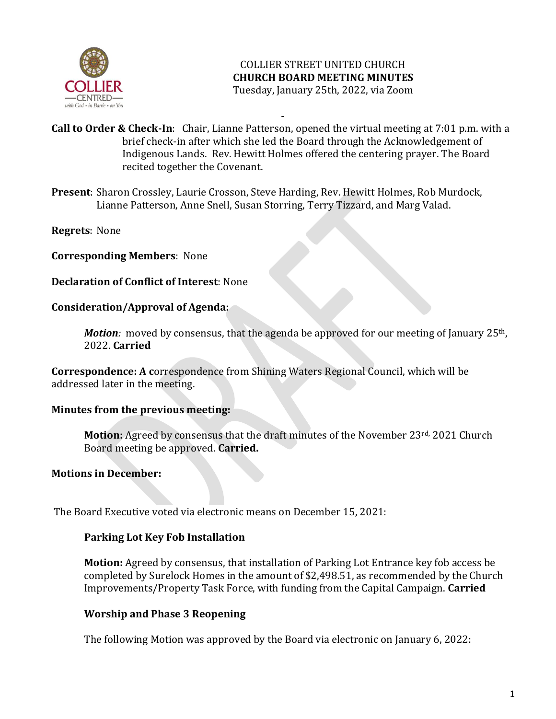

- **Call to Order & Check-In**: Chair, Lianne Patterson, opened the virtual meeting at 7:01 p.m. with a brief check-in after which she led the Board through the Acknowledgement of Indigenous Lands. Rev. Hewitt Holmes offered the centering prayer. The Board recited together the Covenant.

**Present**: Sharon Crossley, Laurie Crosson, Steve Harding, Rev. Hewitt Holmes, Rob Murdock, Lianne Patterson, Anne Snell, Susan Storring, Terry Tizzard, and Marg Valad.

**Regrets**: None

**Corresponding Members**: None

**Declaration of Conflict of Interest**: None

#### **Consideration/Approval of Agenda:**

*Motion:* moved by consensus, that the agenda be approved for our meeting of January 25<sup>th</sup>, 2022. **Carried**

**Correspondence: A c**orrespondence from Shining Waters Regional Council, which will be addressed later in the meeting.

#### **Minutes from the previous meeting:**

**Motion:** Agreed by consensus that the draft minutes of the November 23<sup>rd,</sup> 2021 Church Board meeting be approved. **Carried.**

#### **Motions in December:**

The Board Executive voted via electronic means on December 15, 2021:

#### **Parking Lot Key Fob Installation**

**Motion:** Agreed by consensus, that installation of Parking Lot Entrance key fob access be completed by Surelock Homes in the amount of \$2,498.51, as recommended by the Church Improvements/Property Task Force, with funding from the Capital Campaign. **Carried**

#### **Worship and Phase 3 Reopening**

The following Motion was approved by the Board via electronic on January 6, 2022: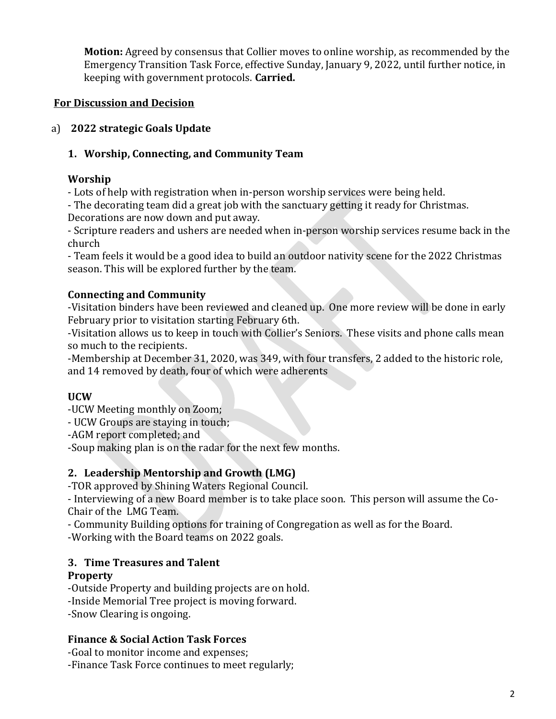**Motion:** Agreed by consensus that Collier moves to online worship, as recommended by the Emergency Transition Task Force, effective Sunday, January 9, 2022, until further notice, in keeping with government protocols. **Carried.**

# **For Discussion and Decision**

## a) **2022 strategic Goals Update**

# **1. Worship, Connecting, and Community Team**

# **Worship**

- Lots of help with registration when in-person worship services were being held.

- The decorating team did a great job with the sanctuary getting it ready for Christmas. Decorations are now down and put away.

- Scripture readers and ushers are needed when in-person worship services resume back in the church

- Team feels it would be a good idea to build an outdoor nativity scene for the 2022 Christmas season. This will be explored further by the team.

# **Connecting and Community**

-Visitation binders have been reviewed and cleaned up. One more review will be done in early February prior to visitation starting February 6th.

-Visitation allows us to keep in touch with Collier's Seniors. These visits and phone calls mean so much to the recipients.

-Membership at December 31, 2020, was 349, with four transfers, 2 added to the historic role, and 14 removed by death, four of which were adherents

# **UCW**

-UCW Meeting monthly on Zoom;

- UCW Groups are staying in touch;

-AGM report completed; and

-Soup making plan is on the radar for the next few months.

# **2. Leadership Mentorship and Growth (LMG)**

-TOR approved by Shining Waters Regional Council.

- Interviewing of a new Board member is to take place soon. This person will assume the Co-Chair of the LMG Team.

- Community Building options for training of Congregation as well as for the Board.

-Working with the Board teams on 2022 goals.

### **3. Time Treasures and Talent Property**

-Outside Property and building projects are on hold.

-Inside Memorial Tree project is moving forward.

-Snow Clearing is ongoing.

### **Finance & Social Action Task Forces**

-Goal to monitor income and expenses;

-Finance Task Force continues to meet regularly;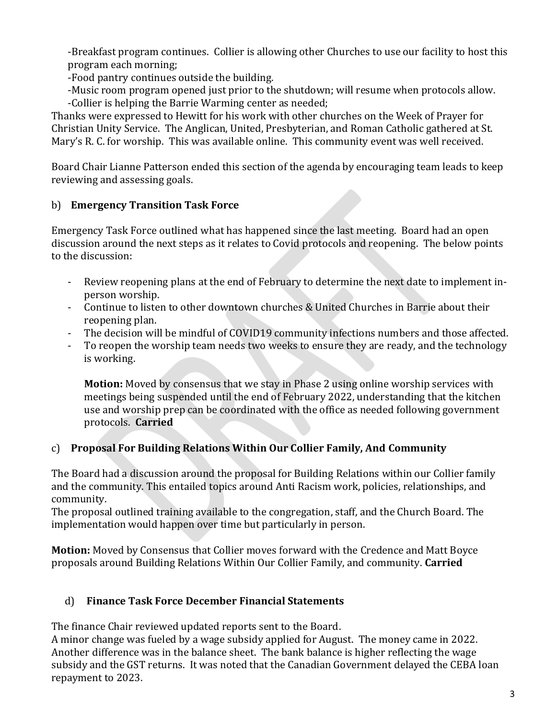-Breakfast program continues. Collier is allowing other Churches to use our facility to host this program each morning;

-Food pantry continues outside the building.

-Music room program opened just prior to the shutdown; will resume when protocols allow. -Collier is helping the Barrie Warming center as needed;

Thanks were expressed to Hewitt for his work with other churches on the Week of Prayer for Christian Unity Service. The Anglican, United, Presbyterian, and Roman Catholic gathered at St. Mary's R. C. for worship. This was available online. This community event was well received.

Board Chair Lianne Patterson ended this section of the agenda by encouraging team leads to keep reviewing and assessing goals.

# b) **Emergency Transition Task Force**

Emergency Task Force outlined what has happened since the last meeting. Board had an open discussion around the next steps as it relates to Covid protocols and reopening. The below points to the discussion:

- Review reopening plans at the end of February to determine the next date to implement inperson worship.
- Continue to listen to other downtown churches & United Churches in Barrie about their reopening plan.
- The decision will be mindful of COVID19 community infections numbers and those affected.
- To reopen the worship team needs two weeks to ensure they are ready, and the technology is working.

**Motion:** Moved by consensus that we stay in Phase 2 using online worship services with meetings being suspended until the end of February 2022, understanding that the kitchen use and worship prep can be coordinated with the office as needed following government protocols. **Carried**

# c) **Proposal For Building Relations Within Our Collier Family, And Community**

The Board had a discussion around the proposal for Building Relations within our Collier family and the community. This entailed topics around Anti Racism work, policies, relationships, and community.

The proposal outlined training available to the congregation, staff, and the Church Board. The implementation would happen over time but particularly in person.

**Motion:** Moved by Consensus that Collier moves forward with the Credence and Matt Boyce proposals around Building Relations Within Our Collier Family, and community. **Carried**

### d) **Finance Task Force December Financial Statements**

The finance Chair reviewed updated reports sent to the Board.

A minor change was fueled by a wage subsidy applied for August. The money came in 2022. Another difference was in the balance sheet. The bank balance is higher reflecting the wage subsidy and the GST returns. It was noted that the Canadian Government delayed the CEBA loan repayment to 2023.